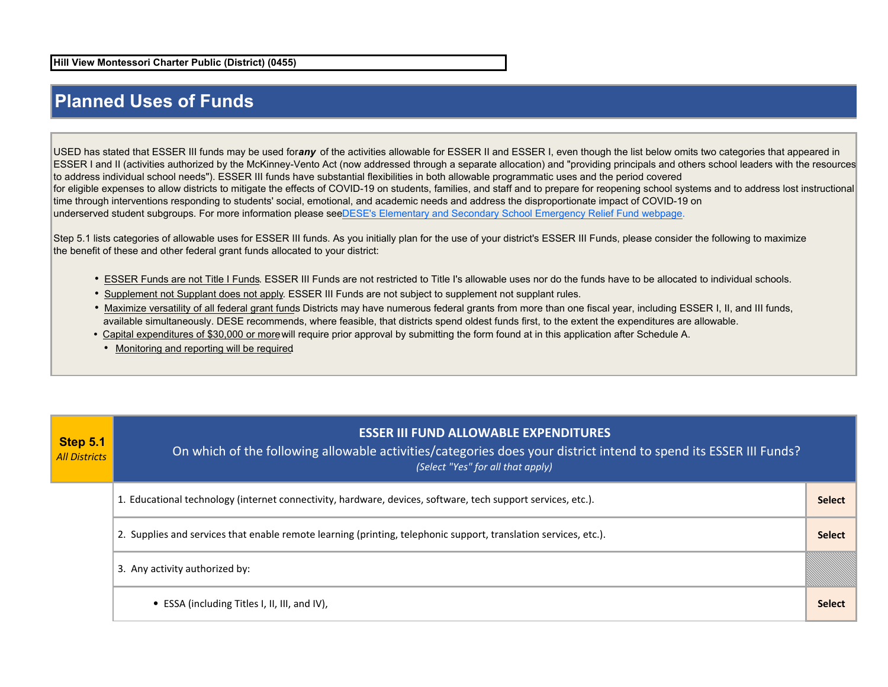**Hill View Montessori Charter Public (District) (0455)**

## **Planned Uses of Funds**

USED has stated that ESSER III funds may be used forany of the activities allowable for ESSER II and ESSER I, even though the list below omits two categories that appeared in ESSER I and II (activities authorized by the McKinney-Vento Act (now addressed through a separate allocation) and "providing principals and others school leaders with the resources to address individual school needs"). ESSER III funds have substantial flexibilities in both allowable programmatic uses and the period covered for eligible expenses to allow districts to mitigate the effects of COVID-19 on students, families, and staff and to prepare for reopening school systems and to address lost instructional time through interventions responding to students' social, emotional, and academic needs and address the disproportionate impact of COVID-19 on underserved student subgroups. For more information please seeDESE's Elementary and Secondary School Emergency Relief Fund webpage.

Step 5.1 lists categories of allowable uses for ESSER III funds. As you initially plan for the use of your district's ESSER III Funds, please consider the following to maximize the benefit of these and other federal grant funds allocated to your district:

- ESSER Funds are not Title I Funds. ESSER III Funds are not restricted to Title I's allowable uses nor do the funds have to be allocated to individual schools.
- Supplement not Supplant does not apply. ESSER III Funds are not subject to supplement not supplant rules.
- Maximize versatility of all federal grant funds Districts may have numerous federal grants from more than one fiscal year, including ESSER I, II, and III funds, available simultaneously. DESE recommends, where feasible, that districts spend oldest funds first, to the extent the expenditures are allowable.
- Capital expenditures of \$30,000 or more will require prior approval by submitting the form found at in this application after Schedule A.
	- Monitoring and reporting will be required.

| <b>Step 5.1</b><br><b>All Districts</b> | <b>ESSER III FUND ALLOWABLE EXPENDITURES</b><br>On which of the following allowable activities/categories does your district intend to spend its ESSER III Funds?<br>(Select "Yes" for all that apply) |               |
|-----------------------------------------|--------------------------------------------------------------------------------------------------------------------------------------------------------------------------------------------------------|---------------|
|                                         | 1. Educational technology (internet connectivity, hardware, devices, software, tech support services, etc.).                                                                                           | <b>Select</b> |
|                                         | 2. Supplies and services that enable remote learning (printing, telephonic support, translation services, etc.).                                                                                       | <b>Select</b> |
|                                         | 3. Any activity authorized by:                                                                                                                                                                         |               |
|                                         | • ESSA (including Titles I, II, III, and IV),                                                                                                                                                          | <b>Select</b> |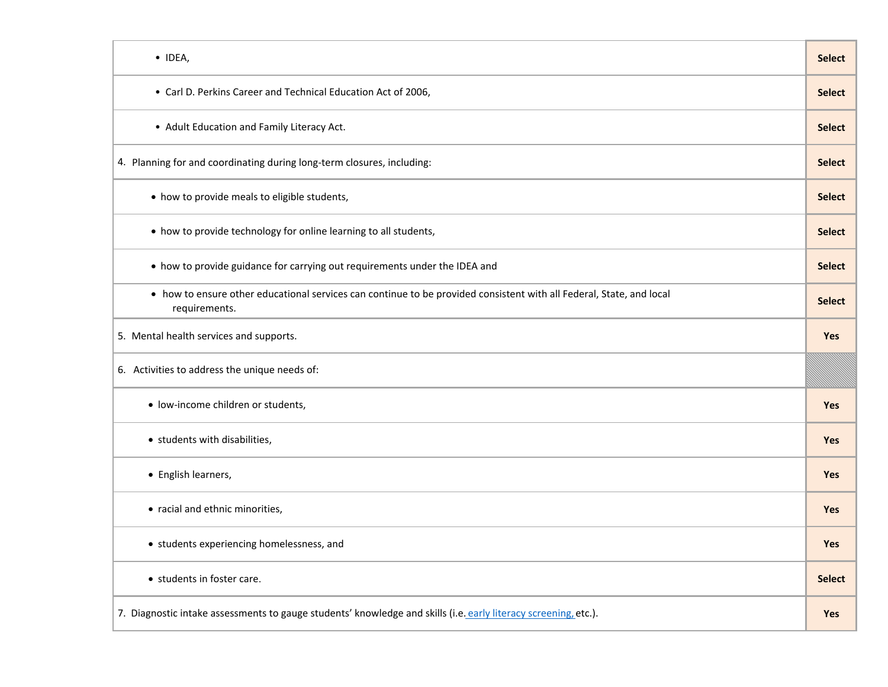| $\bullet$ IDEA,                                                                                                                       | <b>Select</b> |
|---------------------------------------------------------------------------------------------------------------------------------------|---------------|
| • Carl D. Perkins Career and Technical Education Act of 2006,                                                                         | <b>Select</b> |
| • Adult Education and Family Literacy Act.                                                                                            | <b>Select</b> |
| 4. Planning for and coordinating during long-term closures, including:                                                                |               |
| • how to provide meals to eligible students,                                                                                          | <b>Select</b> |
| • how to provide technology for online learning to all students,                                                                      | <b>Select</b> |
| • how to provide guidance for carrying out requirements under the IDEA and                                                            | <b>Select</b> |
| • how to ensure other educational services can continue to be provided consistent with all Federal, State, and local<br>requirements. | <b>Select</b> |
| 5. Mental health services and supports.                                                                                               |               |
| 6. Activities to address the unique needs of:                                                                                         |               |
| · low-income children or students,                                                                                                    | <b>Yes</b>    |
| • students with disabilities,                                                                                                         | Yes           |
| • English learners,                                                                                                                   | Yes           |
| • racial and ethnic minorities,                                                                                                       | <b>Yes</b>    |
| • students experiencing homelessness, and                                                                                             | Yes           |
| • students in foster care.                                                                                                            | <b>Select</b> |
| 7. Diagnostic intake assessments to gauge students' knowledge and skills (i.e. early literacy screening, etc.).                       |               |